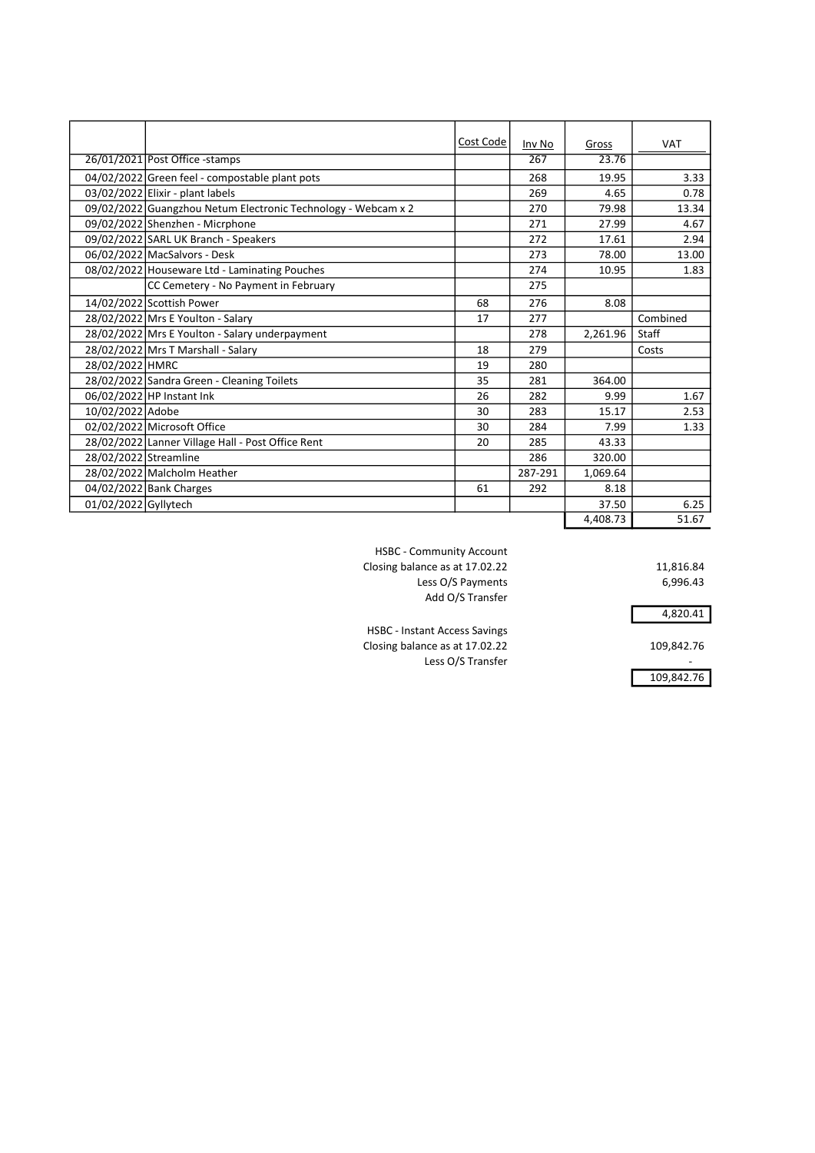|                       |                                                               | Cost Code | Inv No  | Gross    | <b>VAT</b> |
|-----------------------|---------------------------------------------------------------|-----------|---------|----------|------------|
|                       | 26/01/2021 Post Office -stamps                                |           | 267     | 23.76    |            |
|                       | 04/02/2022 Green feel - compostable plant pots                |           | 268     | 19.95    | 3.33       |
|                       | $03/02/2022$ Elixir - plant labels                            |           | 269     | 4.65     | 0.78       |
|                       | 09/02/2022 Guangzhou Netum Electronic Technology - Webcam x 2 |           | 270     | 79.98    | 13.34      |
|                       | 09/02/2022 Shenzhen - Micrphone                               |           | 271     | 27.99    | 4.67       |
|                       | 09/02/2022 SARL UK Branch - Speakers                          |           | 272     | 17.61    | 2.94       |
|                       | 06/02/2022 MacSalvors - Desk                                  |           | 273     | 78.00    | 13.00      |
|                       | 08/02/2022 Houseware Ltd - Laminating Pouches                 |           | 274     | 10.95    | 1.83       |
|                       | CC Cemetery - No Payment in February                          |           | 275     |          |            |
|                       | 14/02/2022 Scottish Power                                     | 68        | 276     | 8.08     |            |
|                       | 28/02/2022 Mrs E Youlton - Salary                             | 17        | 277     |          | Combined   |
|                       | 28/02/2022 Mrs E Youlton - Salary underpayment                |           | 278     | 2,261.96 | Staff      |
|                       | 28/02/2022 Mrs T Marshall - Salary                            | 18        | 279     |          | Costs      |
| 28/02/2022 HMRC       |                                                               | 19        | 280     |          |            |
|                       | 28/02/2022 Sandra Green - Cleaning Toilets                    | 35        | 281     | 364.00   |            |
|                       | 06/02/2022 HP Instant Ink                                     | 26        | 282     | 9.99     | 1.67       |
| 10/02/2022 Adobe      |                                                               | 30        | 283     | 15.17    | 2.53       |
|                       | 02/02/2022 Microsoft Office                                   | 30        | 284     | 7.99     | 1.33       |
|                       | 28/02/2022 Lanner Village Hall - Post Office Rent             | 20        | 285     | 43.33    |            |
| 28/02/2022 Streamline |                                                               |           | 286     | 320.00   |            |
|                       | 28/02/2022 Malcholm Heather                                   |           | 287-291 | 1,069.64 |            |
|                       | 04/02/2022 Bank Charges                                       | 61        | 292     | 8.18     |            |
| 01/02/2022 Gyllytech  |                                                               |           |         | 37.50    | 6.25       |
|                       |                                                               |           |         | 4.408.73 | 51.67      |

HSBC - Community Account Closing balance as at 17.02.22 11,816.84 Less O/S Payments 6,996.43 Add O/S Transfer

4,820.41

109,842.76

HSBC - Instant Access Savings Closing balance as at 17.02.22 109,842.76 Less O/S Transfer